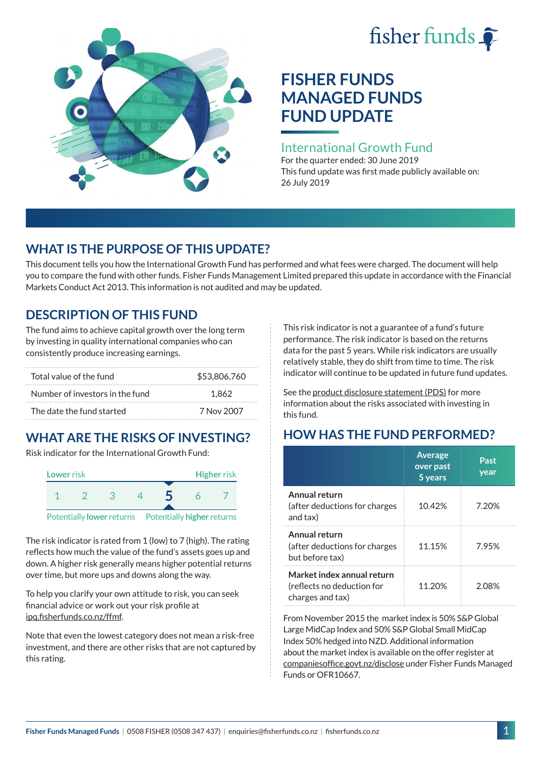# fisher funds  $\hat{\bullet}$



# **FISHER FUNDS MANAGED FUNDS FUND UPDATE**

#### International Growth Fund

For the quarter ended: 30 June 2019 This fund update was first made publicly available on: 26 July 2019

## **WHAT IS THE PURPOSE OF THIS UPDATE?**

This document tells you how the International Growth Fund has performed and what fees were charged. The document will help you to compare the fund with other funds. Fisher Funds Management Limited prepared this update in accordance with the Financial Markets Conduct Act 2013. This information is not audited and may be updated.

## **DESCRIPTION OF THIS FUND**

The fund aims to achieve capital growth over the long term by investing in quality international companies who can consistently produce increasing earnings.

| Total value of the fund         | \$53,806,760 |  |
|---------------------------------|--------------|--|
| Number of investors in the fund | 1.862        |  |
| The date the fund started       | 7 Nov 2007   |  |

## **WHAT ARE THE RISKS OF INVESTING?**

Risk indicator for the International Growth Fund:



The risk indicator is rated from 1 (low) to 7 (high). The rating reflects how much the value of the fund's assets goes up and down. A higher risk generally means higher potential returns over time, but more ups and downs along the way.

To help you clarify your own attitude to risk, you can seek financial advice or work out your risk profile at [ipq.fisherfunds.co.nz/ffmf](https://ipq.fisherfunds.co.nz/ffmf).

Note that even the lowest category does not mean a risk-free investment, and there are other risks that are not captured by this rating.

This risk indicator is not a guarantee of a fund's future performance. The risk indicator is based on the returns data for the past 5 years. While risk indicators are usually relatively stable, they do shift from time to time. The risk indicator will continue to be updated in future fund updates.

See the [product disclosure statement \(PDS\)](https://fisherfunds.co.nz/assets/PDS/Fisher-Funds-Managed-Funds-PDS.pdf) for more information about the risks associated with investing in this fund.

## **HOW HAS THE FUND PERFORMED?**

|                                                                              | <b>Average</b><br>over past<br>5 years | Past<br>year |
|------------------------------------------------------------------------------|----------------------------------------|--------------|
| Annual return<br>(after deductions for charges<br>and tax)                   | 10.42%                                 | 7.20%        |
| Annual return<br>(after deductions for charges<br>but before tax)            | 11.15%                                 | 7.95%        |
| Market index annual return<br>(reflects no deduction for<br>charges and tax) | 11.20%                                 | 2.08%        |

From November 2015 the market index is 50% S&P Global Large MidCap Index and 50% S&P Global Small MidCap Index 50% hedged into NZD. Additional information about the market index is available on the offer register at [companiesoffice.govt.nz/disclose](http://companiesoffice.govt.nz/disclose) under Fisher Funds Managed Funds or OFR10667.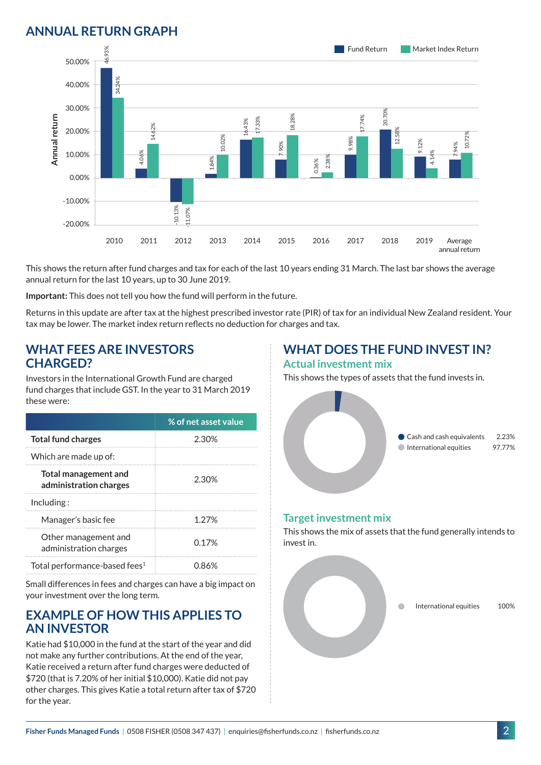### **ANNUAL RETURN GRAPH**



This shows the return after fund charges and tax for each of the last 10 years ending 31 March. The last bar shows the average annual return for the last 10 years, up to 30 June 2019.

**Important:** This does not tell you how the fund will perform in the future.

Returns in this update are after tax at the highest prescribed investor rate (PIR) of tax for an individual New Zealand resident. Your tax may be lower. The market index return reflects no deduction for charges and tax.

#### **WHAT FEES ARE INVESTORS CHARGED?**

Investors in the International Growth Fund are charged fund charges that include GST. In the year to 31 March 2019 these were:

|                                                       | % of net asset value |
|-------------------------------------------------------|----------------------|
| <b>Total fund charges</b>                             | 2.30%                |
| Which are made up of:                                 |                      |
| <b>Total management and</b><br>administration charges | 2.30%                |
| Inding:                                               |                      |
| Manager's basic fee                                   | 1.27%                |
| Other management and<br>administration charges        | በ 17%                |
| Total performance-based fees <sup>1</sup>             | 0.86%                |

Small differences in fees and charges can have a big impact on your investment over the long term.

#### **EXAMPLE OF HOW THIS APPLIES TO AN INVESTOR**

Katie had \$10,000 in the fund at the start of the year and did not make any further contributions. At the end of the year, Katie received a return after fund charges were deducted of \$720 (that is 7.20% of her initial \$10,000). Katie did not pay other charges. This gives Katie a total return after tax of \$720 for the year.

## **WHAT DOES THE FUND INVEST IN?**

#### **Actual investment mix**

This shows the types of assets that the fund invests in.



#### **Target investment mix**

This shows the mix of assets that the fund generally intends to invest in.